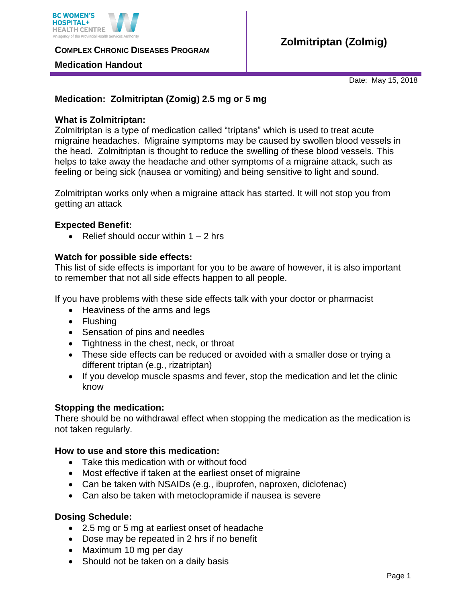

**COMPLEX CHRONIC DISEASES PROGRAM** 

### **Medication Handout**

Date: May 15, 2018

# **Medication: Zolmitriptan (Zomig) 2.5 mg or 5 mg**

### **What is Zolmitriptan:**

Zolmitriptan is a type of medication called "triptans" which is used to treat acute migraine headaches. Migraine symptoms may be caused by swollen blood vessels in the head. Zolmitriptan is thought to reduce the swelling of these blood vessels. This helps to take away the headache and other symptoms of a migraine attack, such as feeling or being sick (nausea or vomiting) and being sensitive to light and sound.

Zolmitriptan works only when a migraine attack has started. It will not stop you from getting an attack

### **Expected Benefit:**

• Relief should occur within  $1 - 2$  hrs

# **Watch for possible side effects:**

This list of side effects is important for you to be aware of however, it is also important to remember that not all side effects happen to all people.

If you have problems with these side effects talk with your doctor or pharmacist

- Heaviness of the arms and legs
- Flushing
- Sensation of pins and needles
- Tightness in the chest, neck, or throat
- These side effects can be reduced or avoided with a smaller dose or trying a different triptan (e.g., rizatriptan)
- If you develop muscle spasms and fever, stop the medication and let the clinic know

# **Stopping the medication:**

There should be no withdrawal effect when stopping the medication as the medication is not taken regularly.

#### **How to use and store this medication:**

- Take this medication with or without food
- Most effective if taken at the earliest onset of migraine
- Can be taken with NSAIDs (e.g., ibuprofen, naproxen, diclofenac)
- Can also be taken with metoclopramide if nausea is severe

#### **Dosing Schedule:**

- 2.5 mg or 5 mg at earliest onset of headache
- Dose may be repeated in 2 hrs if no benefit
- Maximum 10 mg per day
- Should not be taken on a daily basis